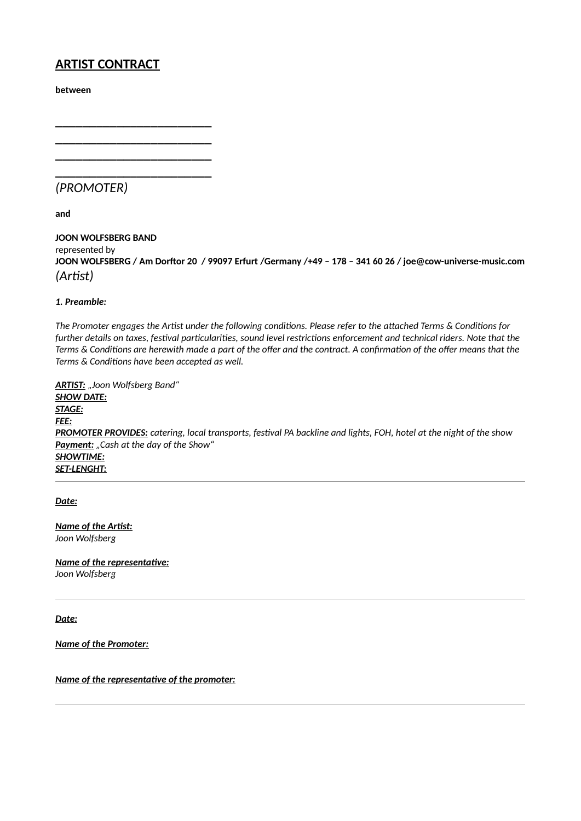# **ARTIST CONTRACT**

**\_\_\_\_\_\_\_\_\_\_\_\_\_\_\_\_\_\_\_\_\_\_\_ \_\_\_\_\_\_\_\_\_\_\_\_\_\_\_\_\_\_\_\_\_\_\_ \_\_\_\_\_\_\_\_\_\_\_\_\_\_\_\_\_\_\_\_\_\_\_ \_\_\_\_\_\_\_\_\_\_\_\_\_\_\_\_\_\_\_\_\_\_\_**

**between**

*(PROMOTER)*

**and**

**JOON WOLFSBERG BAND** represented by **JOON WOLFSBERG / Am Dorftor 20 / 99097 Erfurt /Germany /+49 – 178 – 341 60 26 / joe@cow-universe-music.com** *(Artist)*

# *1. Preamble:*

*The Promoter engages the Artist under the following conditions. Please refer to the attached Terms & Conditions for further details on taxes, festival particularities, sound level restrictions enforcement and technical riders. Note that the Terms & Conditions are herewith made a part of the offer and the contract. A confirmation of the offer means that the Terms & Conditions have been accepted as well.*

*ARTIST: "Joon Wolfsberg Band" SHOW DATE: STAGE: FEE: PROMOTER PROVIDES: catering, local transports, festival PA backline and lights, FOH, hotel at the night of the show* Payment: "Cash at the day of the Show" *SHOWTIME: SET-LENGHT:*

*Date:*

*Name of the Artist: Joon Wolfsberg*

*Name of the representative: Joon Wolfsberg*

*Date:*

*Name of the Promoter:*

*Name of the representative of the promoter:*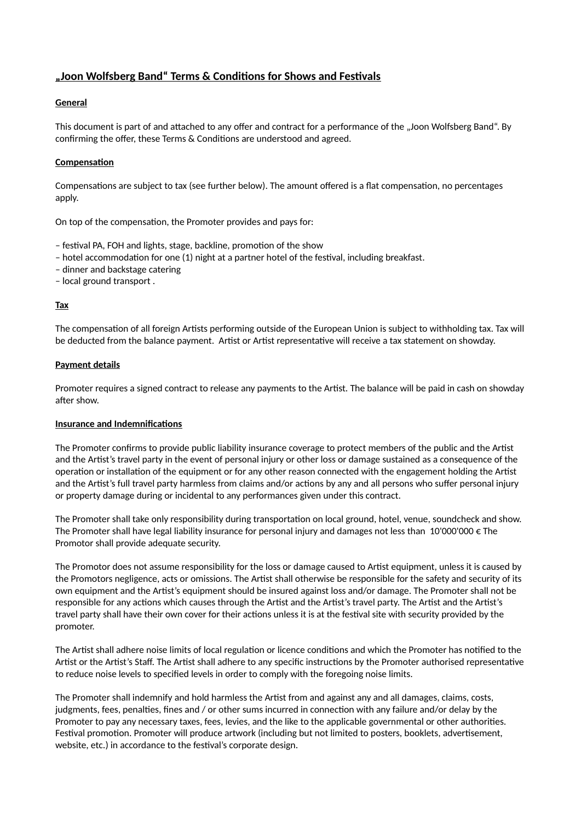# **"Joon Wolfsberg Band" Terms & Conditions for Shows and Festivals**

# **General**

This document is part of and attached to any offer and contract for a performance of the "Joon Wolfsberg Band". By confirming the offer, these Terms & Conditions are understood and agreed.

# **Compensation**

Compensations are subject to tax (see further below). The amount offered is a flat compensation, no percentages apply.

On top of the compensation, the Promoter provides and pays for:

- festival PA, FOH and lights, stage, backline, promotion of the show
- hotel accommodation for one (1) night at a partner hotel of the festival, including breakfast.
- dinner and backstage catering
- local ground transport .

# **Tax**

The compensation of all foreign Artists performing outside of the European Union is subject to withholding tax. Tax will be deducted from the balance payment. Artist or Artist representative will receive a tax statement on showday.

#### **Payment details**

Promoter requires a signed contract to release any payments to the Artist. The balance will be paid in cash on showday after show.

#### **Insurance and Indemnifications**

The Promoter confirms to provide public liability insurance coverage to protect members of the public and the Artist and the Artist's travel party in the event of personal injury or other loss or damage sustained as a consequence of the operation or installation of the equipment or for any other reason connected with the engagement holding the Artist and the Artist's full travel party harmless from claims and/or actions by any and all persons who suffer personal injury or property damage during or incidental to any performances given under this contract.

The Promoter shall take only responsibility during transportation on local ground, hotel, venue, soundcheck and show. The Promoter shall have legal liability insurance for personal injury and damages not less than 10'000'000  $\epsilon$  The Promotor shall provide adequate security.

The Promotor does not assume responsibility for the loss or damage caused to Artist equipment, unless it is caused by the Promotors negligence, acts or omissions. The Artist shall otherwise be responsible for the safety and security of its own equipment and the Artist's equipment should be insured against loss and/or damage. The Promoter shall not be responsible for any actions which causes through the Artist and the Artist's travel party. The Artist and the Artist's travel party shall have their own cover for their actions unless it is at the festival site with security provided by the promoter.

The Artist shall adhere noise limits of local regulation or licence conditions and which the Promoter has notified to the Artist or the Artist's Staff. The Artist shall adhere to any specific instructions by the Promoter authorised representative to reduce noise levels to specified levels in order to comply with the foregoing noise limits.

The Promoter shall indemnify and hold harmless the Artist from and against any and all damages, claims, costs, judgments, fees, penalties, fines and / or other sums incurred in connection with any failure and/or delay by the Promoter to pay any necessary taxes, fees, levies, and the like to the applicable governmental or other authorities. Festival promotion. Promoter will produce artwork (including but not limited to posters, booklets, advertisement, website, etc.) in accordance to the festival's corporate design.